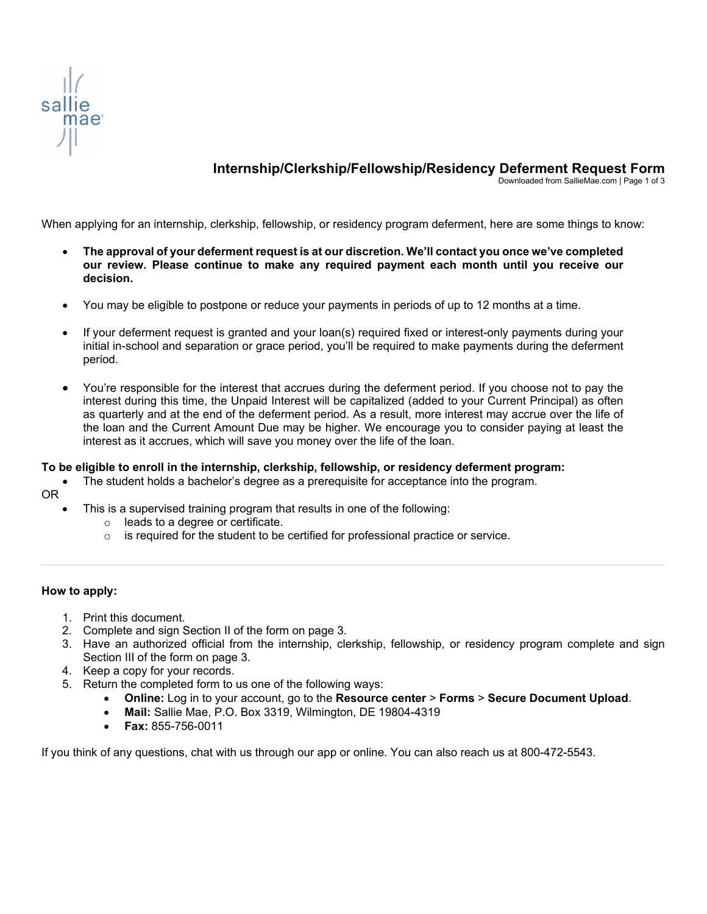

# **Internship/Clerkship/Fellowship/Residency Deferment Request Form**

Downloaded from SallieMae.com | Page 1 of 3

When applying for an internship, clerkship, fellowship, or residency program deferment, here are some things to know:

- **The approval of your deferment request is at our discretion. We'll contact you once we've completed our review. Please continue to make any required payment each month until you receive our decision.**
- You may be eligible to postpone or reduce your payments in periods of up to 12 months at a time.
- If your deferment request is granted and your loan(s) required fixed or interest-only payments during your initial in-school and separation or grace period, you'll be required to make payments during the deferment period.
- You're responsible for the interest that accrues during the deferment period. If you choose not to pay the interest during this time, the Unpaid Interest will be capitalized (added to your Current Principal) as often as quarterly and at the end of the deferment period. As a result, more interest may accrue over the life of the loan and the Current Amount Due may be higher. We encourage you to consider paying at least the interest as it accrues, which will save you money over the life of the loan.

#### **To be eligible to enroll in the internship, clerkship, fellowship, or residency deferment program:**

• The student holds a bachelor's degree as a prerequisite for acceptance into the program.

OR

- This is a supervised training program that results in one of the following:
	- o leads to a degree or certificate.
	- $\circ$  is required for the student to be certified for professional practice or service.

#### **How to apply:**

- 1. Print this document.
- 2. Complete and sign Section II of the form on page 3.
- 3. Have an authorized official from the internship, clerkship, fellowship, or residency program complete and sign Section III of the form on page 3.
- 4. Keep a copy for your records.
- 5. Return the completed form to us one of the following ways:
	- **Online:** Log in to your account, go to the **Resource center** > **Forms** > **Secure Document Upload**.
	- **Mail:** Sallie Mae, P.O. Box 3319, Wilmington, DE 19804-4319
	- **Fax:** 855-756-0011

If you think of any questions, chat with us through our app or online. You can also reach us at 800-472-5543.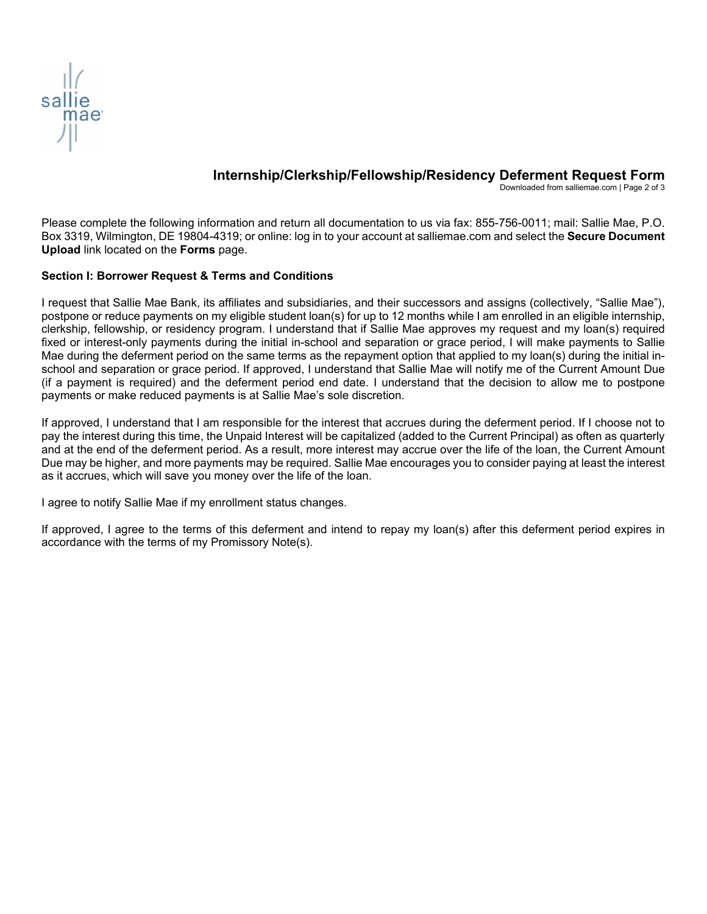

## **Internship/Clerkship/Fellowship/Residency Deferment Request Form**

Downloaded from salliemae.com | Page 2 of 3

Please complete the following information and return all documentation to us via fax: 855-756-0011; mail: Sallie Mae, P.O. Box 3319, Wilmington, DE 19804-4319; or online: log in to your account at salliemae.com and select the **Secure Document Upload** link located on the **Forms** page.

### **Section I: Borrower Request & Terms and Conditions**

I request that Sallie Mae Bank, its affiliates and subsidiaries, and their successors and assigns (collectively, "Sallie Mae"), postpone or reduce payments on my eligible student loan(s) for up to 12 months while I am enrolled in an eligible internship, clerkship, fellowship, or residency program. I understand that if Sallie Mae approves my request and my loan(s) required fixed or interest-only payments during the initial in-school and separation or grace period, I will make payments to Sallie Mae during the deferment period on the same terms as the repayment option that applied to my loan(s) during the initial inschool and separation or grace period. If approved, I understand that Sallie Mae will notify me of the Current Amount Due (if a payment is required) and the deferment period end date. I understand that the decision to allow me to postpone payments or make reduced payments is at Sallie Mae's sole discretion.

If approved, I understand that I am responsible for the interest that accrues during the deferment period. If I choose not to pay the interest during this time, the Unpaid Interest will be capitalized (added to the Current Principal) as often as quarterly and at the end of the deferment period. As a result, more interest may accrue over the life of the loan, the Current Amount Due may be higher, and more payments may be required. Sallie Mae encourages you to consider paying at least the interest as it accrues, which will save you money over the life of the loan.

I agree to notify Sallie Mae if my enrollment status changes.

If approved, I agree to the terms of this deferment and intend to repay my loan(s) after this deferment period expires in accordance with the terms of my Promissory Note(s).